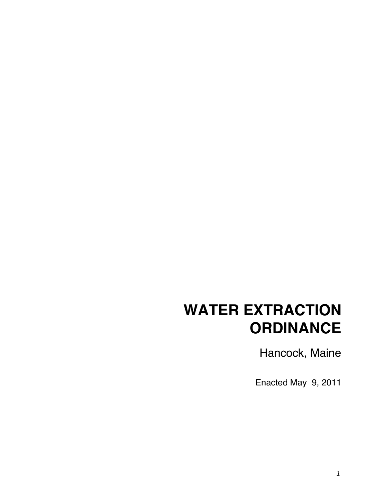# **WATER EXTRACTION ORDINANCE**

Hancock, Maine

Enacted May 9, 2011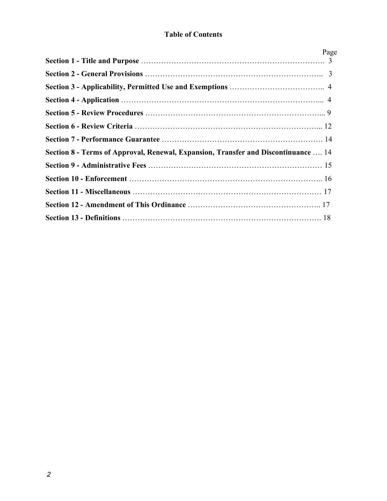# **Table of Contents**

|                                                                                    | Page |
|------------------------------------------------------------------------------------|------|
|                                                                                    |      |
|                                                                                    |      |
|                                                                                    |      |
|                                                                                    |      |
|                                                                                    |      |
|                                                                                    |      |
|                                                                                    |      |
| Section 8 - Terms of Approval, Renewal, Expansion, Transfer and Discontinuance  14 |      |
|                                                                                    |      |
|                                                                                    |      |
|                                                                                    |      |
|                                                                                    |      |
|                                                                                    |      |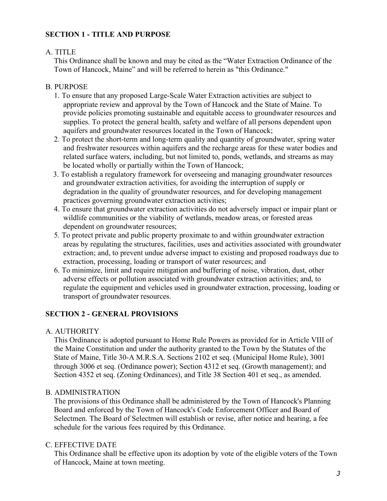## **SECTION 1 - TITLE AND PURPOSE**

# A. TITLE

This Ordinance shall be known and may be cited as the "Water Extraction Ordinance of the Town of Hancock, Maine" and will be referred to herein as "this Ordinance."

## B. PURPOSE

- 1. To ensure that any proposed Large-Scale Water Extraction activities are subject to appropriate review and approval by the Town of Hancock and the State of Maine. To provide policies promoting sustainable and equitable access to groundwater resources and supplies. To protect the general health, safety and welfare of all persons dependent upon aquifers and groundwater resources located in the Town of Hancock;
- 2. To protect the short-term and long-term quality and quantity of groundwater, spring water and freshwater resources within aquifers and the recharge areas for these water bodies and related surface waters, including, but not limited to, ponds, wetlands, and streams as may be located wholly or partially within the Town of Hancock;
- 3. To establish a regulatory framework for overseeing and managing groundwater resources and groundwater extraction activities, for avoiding the interruption of supply or degradation in the quality of groundwater resources, and for developing management practices governing groundwater extraction activities;
- 4. To ensure that groundwater extraction activities do not adversely impact or impair plant or wildlife communities or the viability of wetlands, meadow areas, or forested areas dependent on groundwater resources;
- 5. To protect private and public property proximate to and within groundwater extraction areas by regulating the structures, facilities, uses and activities associated with groundwater extraction; and, to prevent undue adverse impact to existing and proposed roadways due to extraction, processing, loading or transport of water resources; and
- 6. To minimize, limit and require mitigation and buffering of noise, vibration, dust, other adverse effects or pollution associated with groundwater extraction activities; and, to regulate the equipment and vehicles used in groundwater extraction, processing, loading or transport of groundwater resources.

# **SECTION 2 - GENERAL PROVISIONS**

## A. AUTHORITY

This Ordinance is adopted pursuant to Home Rule Powers as provided for in Article VIII of the Maine Constitution and under the authority granted to the Town by the Statutes of the State of Maine, Title 30-A M.R.S.A. Sections 2102 et seq. (Municipal Home Rule), 3001 through 3006 et seq. (Ordinance power); Section 4312 et seq. (Growth management); and Section 4352 et seq. (Zoning Ordinances), and Title 38 Section 401 et seq., as amended.

## B. ADMINISTRATION

The provisions of this Ordinance shall be administered by the Town of Hancock's Planning Board and enforced by the Town of Hancock's Code Enforcement Officer and Board of Selectmen. The Board of Selectmen will establish or revise, after notice and hearing, a fee schedule for the various fees required by this Ordinance.

## C. EFFECTIVE DATE

This Ordinance shall be effective upon its adoption by vote of the eligible voters of the Town of Hancock, Maine at town meeting.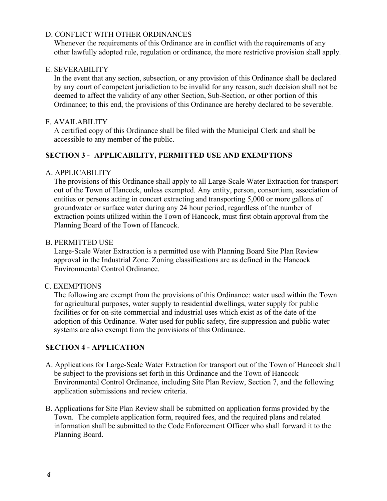## D. CONFLICT WITH OTHER ORDINANCES

Whenever the requirements of this Ordinance are in conflict with the requirements of any other lawfully adopted rule, regulation or ordinance, the more restrictive provision shall apply.

#### E. SEVERABILITY

In the event that any section, subsection, or any provision of this Ordinance shall be declared by any court of competent jurisdiction to be invalid for any reason, such decision shall not be deemed to affect the validity of any other Section, Sub-Section, or other portion of this Ordinance; to this end, the provisions of this Ordinance are hereby declared to be severable.

#### F. AVAILABILITY

A certified copy of this Ordinance shall be filed with the Municipal Clerk and shall be accessible to any member of the public.

## **SECTION 3 - APPLICABILITY, PERMITTED USE AND EXEMPTIONS**

#### A. APPLICABILITY

The provisions of this Ordinance shall apply to all Large-Scale Water Extraction for transport out of the Town of Hancock, unless exempted. Any entity, person, consortium, association of entities or persons acting in concert extracting and transporting 5,000 or more gallons of groundwater or surface water during any 24 hour period, regardless of the number of extraction points utilized within the Town of Hancock, must first obtain approval from the Planning Board of the Town of Hancock.

#### B. PERMITTED USE

Large-Scale Water Extraction is a permitted use with Planning Board Site Plan Review approval in the Industrial Zone. Zoning classifications are as defined in the Hancock Environmental Control Ordinance.

#### C. EXEMPTIONS

The following are exempt from the provisions of this Ordinance: water used within the Town for agricultural purposes, water supply to residential dwellings, water supply for public facilities or for on-site commercial and industrial uses which exist as of the date of the adoption of this Ordinance. Water used for public safety, fire suppression and public water systems are also exempt from the provisions of this Ordinance.

#### **SECTION 4 - APPLICATION**

- A. Applications for Large-Scale Water Extraction for transport out of the Town of Hancock shall be subject to the provisions set forth in this Ordinance and the Town of Hancock Environmental Control Ordinance, including Site Plan Review, Section 7, and the following application submissions and review criteria.
- B. Applications for Site Plan Review shall be submitted on application forms provided by the Town. The complete application form, required fees, and the required plans and related information shall be submitted to the Code Enforcement Officer who shall forward it to the Planning Board.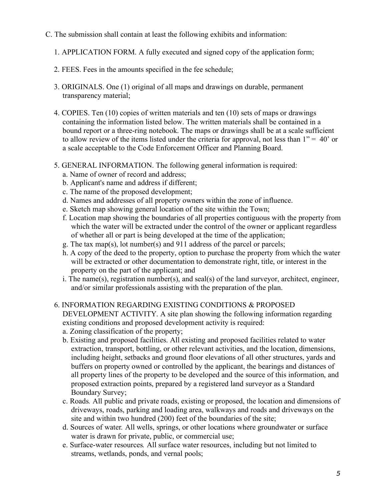- C. The submission shall contain at least the following exhibits and information:
	- 1. APPLICATION FORM. A fully executed and signed copy of the application form;
	- 2. FEES. Fees in the amounts specified in the fee schedule;
	- 3. ORIGINALS. One (1) original of all maps and drawings on durable, permanent transparency material;
	- 4. COPIES. Ten (10) copies of written materials and ten (10) sets of maps or drawings containing the information listed below. The written materials shall be contained in a bound report or a three-ring notebook. The maps or drawings shall be at a scale sufficient to allow review of the items listed under the criteria for approval, not less than  $1" = 40'$  or a scale acceptable to the Code Enforcement Officer and Planning Board.
	- 5. GENERAL INFORMATION. The following general information is required:
		- a. Name of owner of record and address;
		- b. Applicant's name and address if different;
		- c. The name of the proposed development;
		- d. Names and addresses of all property owners within the zone of influence.
		- e. Sketch map showing general location of the site within the Town;
		- f. Location map showing the boundaries of all properties contiguous with the property from which the water will be extracted under the control of the owner or applicant regardless of whether all or part is being developed at the time of the application;
		- g. The tax map(s), lot number(s) and 911 address of the parcel or parcels;
		- h. A copy of the deed to the property, option to purchase the property from which the water will be extracted or other documentation to demonstrate right, title, or interest in the property on the part of the applicant; and
		- i. The name(s), registration number(s), and seal(s) of the land surveyor, architect, engineer, and/or similar professionals assisting with the preparation of the plan.
	- 6. INFORMATION REGARDING EXISTING CONDITIONS & PROPOSED DEVELOPMENT ACTIVITY. A site plan showing the following information regarding existing conditions and proposed development activity is required:
		- a. Zoning classification of the property;
		- b. Existing and proposed facilities. All existing and proposed facilities related to water extraction, transport, bottling, or other relevant activities, and the location, dimensions, including height, setbacks and ground floor elevations of all other structures, yards and buffers on property owned or controlled by the applicant, the bearings and distances of all property lines of the property to be developed and the source of this information, and proposed extraction points, prepared by a registered land surveyor as a Standard Boundary Survey;
		- c. Roads*.* All public and private roads, existing or proposed, the location and dimensions of driveways, roads, parking and loading area, walkways and roads and driveways on the site and within two hundred (200) feet of the boundaries of the site;
		- d. Sources of water*.* All wells, springs, or other locations where groundwater or surface water is drawn for private, public, or commercial use;
		- e. Surface-water resources*.* All surface water resources, including but not limited to streams, wetlands, ponds, and vernal pools;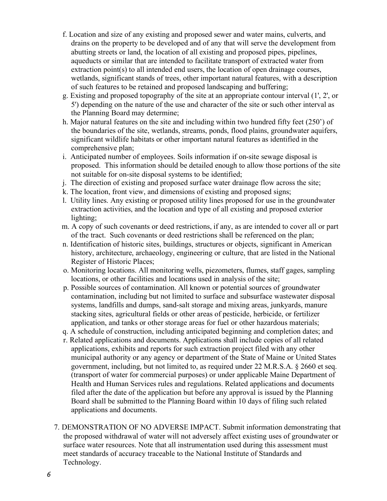- f. Location and size of any existing and proposed sewer and water mains, culverts, and drains on the property to be developed and of any that will serve the development from abutting streets or land, the location of all existing and proposed pipes, pipelines, aqueducts or similar that are intended to facilitate transport of extracted water from extraction point(s) to all intended end users, the location of open drainage courses, wetlands, significant stands of trees, other important natural features, with a description of such features to be retained and proposed landscaping and buffering;
- g. Existing and proposed topography of the site at an appropriate contour interval (1', 2', or 5') depending on the nature of the use and character of the site or such other interval as the Planning Board may determine;
- h. Major natural features on the site and including within two hundred fifty feet (250') of the boundaries of the site, wetlands, streams, ponds, flood plains, groundwater aquifers, significant wildlife habitats or other important natural features as identified in the comprehensive plan;
- i. Anticipated number of employees. Soils information if on-site sewage disposal is proposed. This information should be detailed enough to allow those portions of the site not suitable for on-site disposal systems to be identified;
- j. The direction of existing and proposed surface water drainage flow across the site;
- k. The location, front view, and dimensions of existing and proposed signs;
- l. Utility lines. Any existing or proposed utility lines proposed for use in the groundwater extraction activities, and the location and type of all existing and proposed exterior lighting;
- m. A copy of such covenants or deed restrictions, if any, as are intended to cover all or part of the tract. Such covenants or deed restrictions shall be referenced on the plan;
- n. Identification of historic sites, buildings, structures or objects, significant in American history, architecture, archaeology, engineering or culture, that are listed in the National Register of Historic Places;
- o. Monitoring locations. All monitoring wells, piezometers, flumes, staff gages, sampling locations, or other facilities and locations used in analysis of the site;
- p. Possible sources of contamination. All known or potential sources of groundwater contamination, including but not limited to surface and subsurface wastewater disposal systems, landfills and dumps, sand-salt storage and mixing areas, junkyards, manure stacking sites, agricultural fields or other areas of pesticide, herbicide, or fertilizer application, and tanks or other storage areas for fuel or other hazardous materials;
- q. A schedule of construction, including anticipated beginning and completion dates; and
- r. Related applications and documents. Applications shall include copies of all related applications, exhibits and reports for such extraction project filed with any other municipal authority or any agency or department of the State of Maine or United States government, including, but not limited to, as required under 22 M.R.S.A. § 2660 et seq. (transport of water for commercial purposes) or under applicable Maine Department of Health and Human Services rules and regulations. Related applications and documents filed after the date of the application but before any approval is issued by the Planning Board shall be submitted to the Planning Board within 10 days of filing such related applications and documents.
- 7. DEMONSTRATION OF NO ADVERSE IMPACT. Submit information demonstrating that the proposed withdrawal of water will not adversely affect existing uses of groundwater or surface water resources. Note that all instrumentation used during this assessment must meet standards of accuracy traceable to the National Institute of Standards and Technology.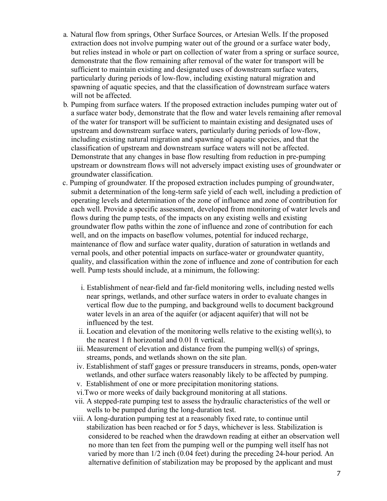- a*.* Natural flow from springs, Other Surface Sources, or Artesian Wells. If the proposed extraction does not involve pumping water out of the ground or a surface water body, but relies instead in whole or part on collection of water from a spring or surface source, demonstrate that the flow remaining after removal of the water for transport will be sufficient to maintain existing and designated uses of downstream surface waters, particularly during periods of low-flow, including existing natural migration and spawning of aquatic species, and that the classification of downstream surface waters will not be affected.
- b*.* Pumping from surface waters*.* If the proposed extraction includes pumping water out of a surface water body, demonstrate that the flow and water levels remaining after removal of the water for transport will be sufficient to maintain existing and designated uses of upstream and downstream surface waters, particularly during periods of low-flow, including existing natural migration and spawning of aquatic species, and that the classification of upstream and downstream surface waters will not be affected. Demonstrate that any changes in base flow resulting from reduction in pre-pumping upstream or downstream flows will not adversely impact existing uses of groundwater or groundwater classification.
- c. Pumping of groundwater*.* If the proposed extraction includes pumping of groundwater, submit a determination of the long-term safe yield of each well, including a prediction of operating levels and determination of the zone of influence and zone of contribution for each well. Provide a specific assessment, developed from monitoring of water levels and flows during the pump tests, of the impacts on any existing wells and existing groundwater flow paths within the zone of influence and zone of contribution for each well, and on the impacts on baseflow volumes, potential for induced recharge, maintenance of flow and surface water quality, duration of saturation in wetlands and vernal pools, and other potential impacts on surface-water or groundwater quantity, quality, and classification within the zone of influence and zone of contribution for each well. Pump tests should include, at a minimum, the following:
	- i. Establishment of near-field and far-field monitoring wells, including nested wells near springs, wetlands, and other surface waters in order to evaluate changes in vertical flow due to the pumping, and background wells to document background water levels in an area of the aquifer (or adjacent aquifer) that will not be influenced by the test.
	- ii. Location and elevation of the monitoring wells relative to the existing well(s), to the nearest 1 ft horizontal and 0.01 ft vertical.
	- iii. Measurement of elevation and distance from the pumping well(s) of springs, streams, ponds, and wetlands shown on the site plan.
	- iv. Establishment of staff gages or pressure transducers in streams, ponds, open-water wetlands, and other surface waters reasonably likely to be affected by pumping.
	- v. Establishment of one or more precipitation monitoring stations.
	- vi.Two or more weeks of daily background monitoring at all stations.
	- vii. A stepped-rate pumping test to assess the hydraulic characteristics of the well or wells to be pumped during the long-duration test.
	- viii. A long-duration pumping test at a reasonably fixed rate, to continue until stabilization has been reached or for 5 days, whichever is less. Stabilization is considered to be reached when the drawdown reading at either an observation well no more than ten feet from the pumping well or the pumping well itself has not varied by more than 1/2 inch (0.04 feet) during the preceding 24-hour period. An alternative definition of stabilization may be proposed by the applicant and must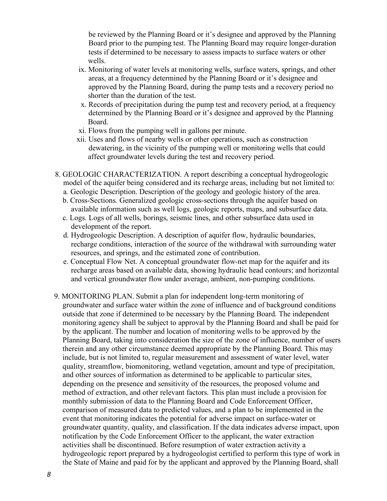be reviewed by the Planning Board or it's designee and approved by the Planning Board prior to the pumping test. The Planning Board may require longer-duration tests if determined to be necessary to assess impacts to surface waters or other wells.

- ix. Monitoring of water levels at monitoring wells, surface waters, springs, and other areas, at a frequency determined by the Planning Board or it's designee and approved by the Planning Board, during the pump tests and a recovery period no shorter than the duration of the test.
- x. Records of precipitation during the pump test and recovery period, at a frequency determined by the Planning Board or it's designee and approved by the Planning Board.
- xi. Flows from the pumping well in gallons per minute.
- xii. Uses and flows of nearby wells or other operations, such as construction dewatering, in the vicinity of the pumping well or monitoring wells that could affect groundwater levels during the test and recovery period.
- 8. GEOLOGIC CHARACTERIZATION. A report describing a conceptual hydrogeologic model of the aquifer being considered and its recharge areas, including but not limited to:
	- a*.* Geologic Description. Description of the geology and geologic history of the area.
	- b. Cross-Sections*.* Generalized geologic cross-sections through the aquifer based on available information such as well logs, geologic reports, maps, and subsurface data.
	- c. Logs*.* Logs of all wells, borings, seismic lines, and other subsurface data used in development of the report.
	- d. Hydrogeologic Description. A description of aquifer flow, hydraulic boundaries, recharge conditions, interaction of the source of the withdrawal with surrounding water resources, and springs, and the estimated zone of contribution.
	- e. Conceptual Flow Net. A conceptual groundwater flow-net map for the aquifer and its recharge areas based on available data, showing hydraulic head contours; and horizontal and vertical groundwater flow under average, ambient, non-pumping conditions.
- 9. MONITORING PLAN. Submit a plan for independent long-term monitoring of groundwater and surface water within the zone of influence and of background conditions outside that zone if determined to be necessary by the Planning Board. The independent monitoring agency shall be subject to approval by the Planning Board and shall be paid for by the applicant. The number and location of monitoring wells to be approved by the Planning Board, taking into consideration the size of the zone of influence, number of users therein and any other circumstance deemed appropriate by the Planning Board. This may include, but is not limited to, regular measurement and assessment of water level, water quality, streamflow, biomonitoring, wetland vegetation, amount and type of precipitation, and other sources of information as determined to be applicable to particular sites, depending on the presence and sensitivity of the resources, the proposed volume and method of extraction, and other relevant factors. This plan must include a provision for monthly submission of data to the Planning Board and Code Enforcement Officer, comparison of measured data to predicted values, and a plan to be implemented in the event that monitoring indicates the potential for adverse impact on surface-water or groundwater quantity, quality, and classification. If the data indicates adverse impact, upon notification by the Code Enforcement Officer to the applicant, the water extraction activities shall be discontinued. Before resumption of water extraction activity a hydrogeologic report prepared by a hydrogeologist certified to perform this type of work in the State of Maine and paid for by the applicant and approved by the Planning Board, shall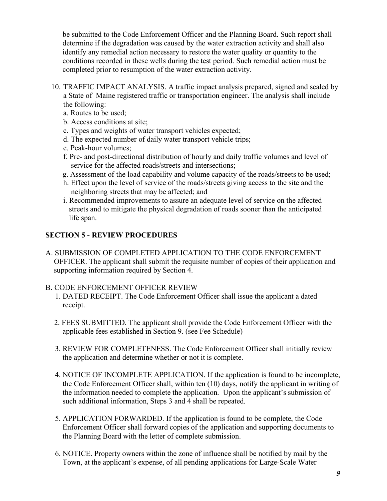be submitted to the Code Enforcement Officer and the Planning Board. Such report shall determine if the degradation was caused by the water extraction activity and shall also identify any remedial action necessary to restore the water quality or quantity to the conditions recorded in these wells during the test period. Such remedial action must be completed prior to resumption of the water extraction activity.

- 10. TRAFFIC IMPACT ANALYSIS. A traffic impact analysis prepared, signed and sealed by a State of Maine registered traffic or transportation engineer. The analysis shall include the following:
	- a. Routes to be used;
	- b. Access conditions at site;
	- c. Types and weights of water transport vehicles expected;
	- d. The expected number of daily water transport vehicle trips;
	- e. Peak-hour volumes;
	- f. Pre- and post-directional distribution of hourly and daily traffic volumes and level of service for the affected roads/streets and intersections;
	- g. Assessment of the load capability and volume capacity of the roads/streets to be used;
	- h. Effect upon the level of service of the roads/streets giving access to the site and the neighboring streets that may be affected; and
	- i. Recommended improvements to assure an adequate level of service on the affected streets and to mitigate the physical degradation of roads sooner than the anticipated life span.

# **SECTION 5 - REVIEW PROCEDURES**

A. SUBMISSION OF COMPLETED APPLICATION TO THE CODE ENFORCEMENT OFFICER. The applicant shall submit the requisite number of copies of their application and supporting information required by Section 4.

## B. CODE ENFORCEMENT OFFICER REVIEW

- 1. DATED RECEIPT. The Code Enforcement Officer shall issue the applicant a dated receipt.
- 2. FEES SUBMITTED. The applicant shall provide the Code Enforcement Officer with the applicable fees established in Section 9. (see Fee Schedule)
- 3. REVIEW FOR COMPLETENESS. The Code Enforcement Officer shall initially review the application and determine whether or not it is complete.
- 4. NOTICE OF INCOMPLETE APPLICATION. If the application is found to be incomplete, the Code Enforcement Officer shall, within ten (10) days, notify the applicant in writing of the information needed to complete the application. Upon the applicant's submission of such additional information, Steps 3 and 4 shall be repeated.
- 5. APPLICATION FORWARDED. If the application is found to be complete, the Code Enforcement Officer shall forward copies of the application and supporting documents to the Planning Board with the letter of complete submission.
- 6. NOTICE. Property owners within the zone of influence shall be notified by mail by the Town, at the applicant's expense, of all pending applications for Large-Scale Water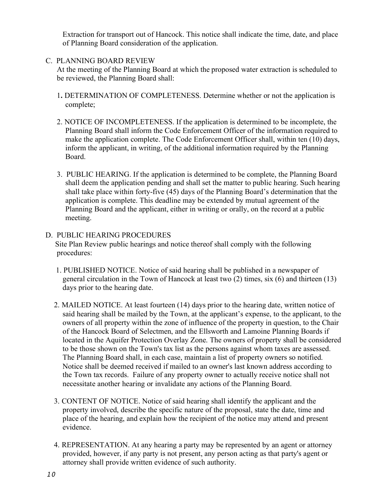Extraction for transport out of Hancock. This notice shall indicate the time, date, and place of Planning Board consideration of the application.

## C. PLANNING BOARD REVIEW

At the meeting of the Planning Board at which the proposed water extraction is scheduled to be reviewed, the Planning Board shall:

- 1**.** DETERMINATION OF COMPLETENESS. Determine whether or not the application is complete;
- 2. NOTICE OF INCOMPLETENESS. If the application is determined to be incomplete, the Planning Board shall inform the Code Enforcement Officer of the information required to make the application complete. The Code Enforcement Officer shall, within ten (10) days, inform the applicant, in writing, of the additional information required by the Planning Board.
- 3. PUBLIC HEARING. If the application is determined to be complete, the Planning Board shall deem the application pending and shall set the matter to public hearing. Such hearing shall take place within forty-five (45) days of the Planning Board's determination that the application is complete. This deadline may be extended by mutual agreement of the Planning Board and the applicant, either in writing or orally, on the record at a public meeting.

#### D. PUBLIC HEARING PROCEDURES Site Plan Review public hearings and notice thereof shall comply with the following procedures:

- 1. PUBLISHED NOTICE. Notice of said hearing shall be published in a newspaper of general circulation in the Town of Hancock at least two (2) times, six (6) and thirteen (13) days prior to the hearing date.
- 2. MAILED NOTICE. At least fourteen (14) days prior to the hearing date, written notice of said hearing shall be mailed by the Town, at the applicant's expense, to the applicant, to the owners of all property within the zone of influence of the property in question, to the Chair of the Hancock Board of Selectmen, and the Ellsworth and Lamoine Planning Boards if located in the Aquifer Protection Overlay Zone. The owners of property shall be considered to be those shown on the Town's tax list as the persons against whom taxes are assessed. The Planning Board shall, in each case, maintain a list of property owners so notified. Notice shall be deemed received if mailed to an owner's last known address according to the Town tax records. Failure of any property owner to actually receive notice shall not necessitate another hearing or invalidate any actions of the Planning Board.
- 3. CONTENT OF NOTICE. Notice of said hearing shall identify the applicant and the property involved, describe the specific nature of the proposal, state the date, time and place of the hearing, and explain how the recipient of the notice may attend and present evidence.
- 4. REPRESENTATION. At any hearing a party may be represented by an agent or attorney provided, however, if any party is not present, any person acting as that party's agent or attorney shall provide written evidence of such authority.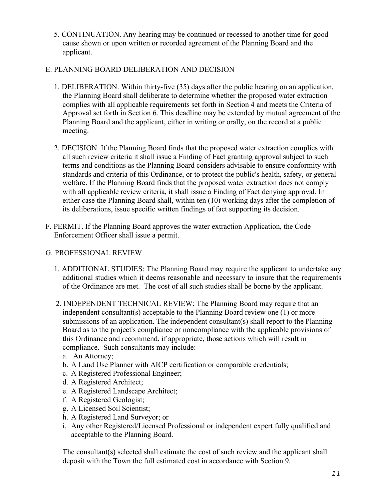5. CONTINUATION. Any hearing may be continued or recessed to another time for good cause shown or upon written or recorded agreement of the Planning Board and the applicant.

# E. PLANNING BOARD DELIBERATION AND DECISION

- 1. DELIBERATION. Within thirty-five (35) days after the public hearing on an application, the Planning Board shall deliberate to determine whether the proposed water extraction complies with all applicable requirements set forth in Section 4 and meets the Criteria of Approval set forth in Section 6. This deadline may be extended by mutual agreement of the Planning Board and the applicant, either in writing or orally, on the record at a public meeting.
- 2. DECISION. If the Planning Board finds that the proposed water extraction complies with all such review criteria it shall issue a Finding of Fact granting approval subject to such terms and conditions as the Planning Board considers advisable to ensure conformity with standards and criteria of this Ordinance, or to protect the public's health, safety, or general welfare. If the Planning Board finds that the proposed water extraction does not comply with all applicable review criteria, it shall issue a Finding of Fact denying approval. In either case the Planning Board shall, within ten (10) working days after the completion of its deliberations, issue specific written findings of fact supporting its decision.
- F. PERMIT. If the Planning Board approves the water extraction Application, the Code Enforcement Officer shall issue a permit.

## G. PROFESSIONAL REVIEW

- 1. ADDITIONAL STUDIES: The Planning Board may require the applicant to undertake any additional studies which it deems reasonable and necessary to insure that the requirements of the Ordinance are met. The cost of all such studies shall be borne by the applicant.
- 2. INDEPENDENT TECHNICAL REVIEW: The Planning Board may require that an independent consultant(s) acceptable to the Planning Board review one (1) or more submissions of an application. The independent consultant(s) shall report to the Planning Board as to the project's compliance or noncompliance with the applicable provisions of this Ordinance and recommend, if appropriate, those actions which will result in compliance. Such consultants may include:
	- a. An Attorney;
	- b. A Land Use Planner with AICP certification or comparable credentials;
	- c. A Registered Professional Engineer;
	- d. A Registered Architect;
	- e. A Registered Landscape Architect;
	- f. A Registered Geologist;
	- g. A Licensed Soil Scientist;
	- h. A Registered Land Surveyor; or
	- i. Any other Registered/Licensed Professional or independent expert fully qualified and acceptable to the Planning Board.

The consultant(s) selected shall estimate the cost of such review and the applicant shall deposit with the Town the full estimated cost in accordance with Section 9.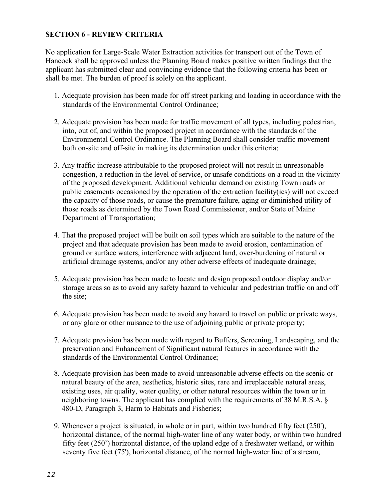## **SECTION 6 - REVIEW CRITERIA**

No application for Large-Scale Water Extraction activities for transport out of the Town of Hancock shall be approved unless the Planning Board makes positive written findings that the applicant has submitted clear and convincing evidence that the following criteria has been or shall be met. The burden of proof is solely on the applicant.

- 1. Adequate provision has been made for off street parking and loading in accordance with the standards of the Environmental Control Ordinance;
- 2. Adequate provision has been made for traffic movement of all types, including pedestrian, into, out of, and within the proposed project in accordance with the standards of the Environmental Control Ordinance. The Planning Board shall consider traffic movement both on-site and off-site in making its determination under this criteria;
- 3. Any traffic increase attributable to the proposed project will not result in unreasonable congestion, a reduction in the level of service, or unsafe conditions on a road in the vicinity of the proposed development. Additional vehicular demand on existing Town roads or public easements occasioned by the operation of the extraction facility(ies) will not exceed the capacity of those roads, or cause the premature failure, aging or diminished utility of those roads as determined by the Town Road Commissioner, and/or State of Maine Department of Transportation;
- 4. That the proposed project will be built on soil types which are suitable to the nature of the project and that adequate provision has been made to avoid erosion, contamination of ground or surface waters, interference with adjacent land, over-burdening of natural or artificial drainage systems, and/or any other adverse effects of inadequate drainage;
- 5. Adequate provision has been made to locate and design proposed outdoor display and/or storage areas so as to avoid any safety hazard to vehicular and pedestrian traffic on and off the site;
- 6. Adequate provision has been made to avoid any hazard to travel on public or private ways, or any glare or other nuisance to the use of adjoining public or private property;
- 7. Adequate provision has been made with regard to Buffers, Screening, Landscaping, and the preservation and Enhancement of Significant natural features in accordance with the standards of the Environmental Control Ordinance;
- 8. Adequate provision has been made to avoid unreasonable adverse effects on the scenic or natural beauty of the area, aesthetics, historic sites, rare and irreplaceable natural areas, existing uses, air quality, water quality, or other natural resources within the town or in neighboring towns. The applicant has complied with the requirements of 38 M.R.S.A. § 480-D, Paragraph 3, Harm to Habitats and Fisheries;
- 9. Whenever a project is situated, in whole or in part, within two hundred fifty feet (250'), horizontal distance, of the normal high-water line of any water body, or within two hundred fifty feet (250') horizontal distance, of the upland edge of a freshwater wetland, or within seventy five feet (75'), horizontal distance, of the normal high-water line of a stream,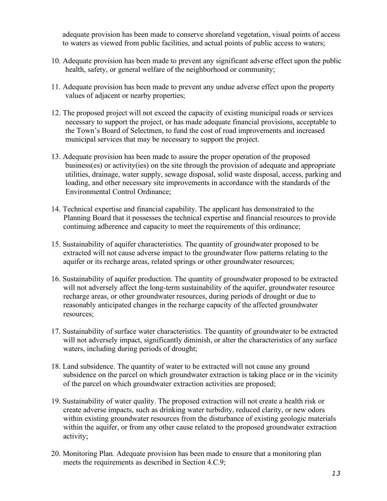adequate provision has been made to conserve shoreland vegetation, visual points of access to waters as viewed from public facilities, and actual points of public access to waters;

- 10. Adequate provision has been made to prevent any significant adverse effect upon the public health, safety, or general welfare of the neighborhood or community;
- 11. Adequate provision has been made to prevent any undue adverse effect upon the property values of adjacent or nearby properties;
- 12. The proposed project will not exceed the capacity of existing municipal roads or services necessary to support the project, or has made adequate financial provisions, acceptable to the Town's Board of Selectmen, to fund the cost of road improvements and increased municipal services that may be necessary to support the project.
- 13. Adequate provision has been made to assure the proper operation of the proposed business(es) or activity(ies) on the site through the provision of adequate and appropriate utilities, drainage, water supply, sewage disposal, solid waste disposal, access, parking and loading, and other necessary site improvements in accordance with the standards of the Environmental Control Ordinance;
- 14. Technical expertise and financial capability. The applicant has demonstrated to the Planning Board that it possesses the technical expertise and financial resources to provide continuing adherence and capacity to meet the requirements of this ordinance;
- 15. Sustainability of aquifer characteristics. The quantity of groundwater proposed to be extracted will not cause adverse impact to the groundwater flow patterns relating to the aquifer or its recharge areas, related springs or other groundwater resources;
- 16. Sustainability of aquifer production. The quantity of groundwater proposed to be extracted will not adversely affect the long-term sustainability of the aquifer, groundwater resource recharge areas, or other groundwater resources, during periods of drought or due to reasonably anticipated changes in the recharge capacity of the affected groundwater resources;
- 17. Sustainability of surface water characteristics. The quantity of groundwater to be extracted will not adversely impact, significantly diminish, or alter the characteristics of any surface waters, including during periods of drought;
- 18. Land subsidence. The quantity of water to be extracted will not cause any ground subsidence on the parcel on which groundwater extraction is taking place or in the vicinity of the parcel on which groundwater extraction activities are proposed;
- 19. Sustainability of water quality. The proposed extraction will not create a health risk or create adverse impacts, such as drinking water turbidity, reduced clarity, or new odors within existing groundwater resources from the disturbance of existing geologic materials within the aquifer, or from any other cause related to the proposed groundwater extraction activity;
- 20. Monitoring Plan*.* Adequate provision has been made to ensure that a monitoring plan meets the requirements as described in Section 4.C.9;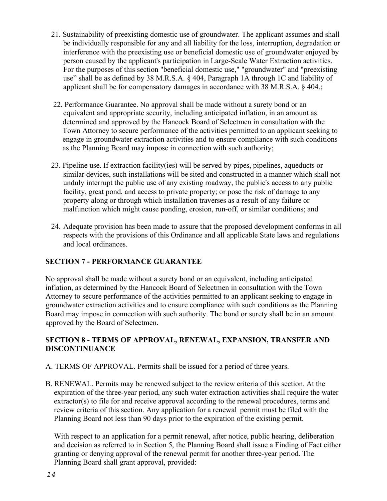- 21. Sustainability of preexisting domestic use of groundwater. The applicant assumes and shall be individually responsible for any and all liability for the loss, interruption, degradation or interference with the preexisting use or beneficial domestic use of groundwater enjoyed by person caused by the applicant's participation in Large-Scale Water Extraction activities. For the purposes of this section "beneficial domestic use," "groundwater" and "preexisting use" shall be as defined by 38 M.R.S.A. § 404, Paragraph 1A through 1C and liability of applicant shall be for compensatory damages in accordance with 38 M.R.S.A. § 404.;
- 22. Performance Guarantee. No approval shall be made without a surety bond or an equivalent and appropriate security, including anticipated inflation, in an amount as determined and approved by the Hancock Board of Selectmen in consultation with the Town Attorney to secure performance of the activities permitted to an applicant seeking to engage in groundwater extraction activities and to ensure compliance with such conditions as the Planning Board may impose in connection with such authority;
- 23. Pipeline use. If extraction facility(ies) will be served by pipes, pipelines, aqueducts or similar devices, such installations will be sited and constructed in a manner which shall not unduly interrupt the public use of any existing roadway, the public's access to any public facility, great pond, and access to private property; or pose the risk of damage to any property along or through which installation traverses as a result of any failure or malfunction which might cause ponding, erosion, run-off, or similar conditions; and
- 24. Adequate provision has been made to assure that the proposed development conforms in all respects with the provisions of this Ordinance and all applicable State laws and regulations and local ordinances.

# **SECTION 7 - PERFORMANCE GUARANTEE**

No approval shall be made without a surety bond or an equivalent, including anticipated inflation, as determined by the Hancock Board of Selectmen in consultation with the Town Attorney to secure performance of the activities permitted to an applicant seeking to engage in groundwater extraction activities and to ensure compliance with such conditions as the Planning Board may impose in connection with such authority. The bond or surety shall be in an amount approved by the Board of Selectmen.

## **SECTION 8 - TERMS OF APPROVAL, RENEWAL, EXPANSION, TRANSFER AND DISCONTINUANCE**

- A. TERMS OF APPROVAL. Permits shall be issued for a period of three years.
- B. RENEWAL. Permits may be renewed subject to the review criteria of this section. At the expiration of the three-year period, any such water extraction activities shall require the water extractor(s) to file for and receive approval according to the renewal procedures, terms and review criteria of this section. Any application for a renewal permit must be filed with the Planning Board not less than 90 days prior to the expiration of the existing permit.

With respect to an application for a permit renewal, after notice, public hearing, deliberation and decision as referred to in Section 5, the Planning Board shall issue a Finding of Fact either granting or denying approval of the renewal permit for another three-year period. The Planning Board shall grant approval, provided: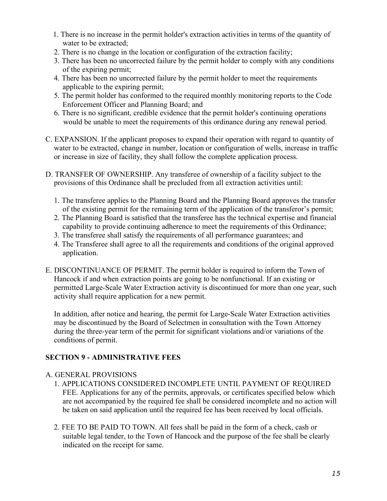- 1. There is no increase in the permit holder's extraction activities in terms of the quantity of water to be extracted;
- 2. There is no change in the location or configuration of the extraction facility;
- 3. There has been no uncorrected failure by the permit holder to comply with any conditions of the expiring permit;
- 4. There has been no uncorrected failure by the permit holder to meet the requirements applicable to the expiring permit;
- 5. The permit holder has conformed to the required monthly monitoring reports to the Code Enforcement Officer and Planning Board; and
- 6. There is no significant, credible evidence that the permit holder's continuing operations would be unable to meet the requirements of this ordinance during any renewal period.
- C. EXPANSION. If the applicant proposes to expand their operation with regard to quantity of water to be extracted, change in number, location or configuration of wells, increase in traffic or increase in size of facility, they shall follow the complete application process.
- D. TRANSFER OF OWNERSHIP. Any transferee of ownership of a facility subject to the provisions of this Ordinance shall be precluded from all extraction activities until:
	- 1. The transferee applies to the Planning Board and the Planning Board approves the transfer of the existing permit for the remaining term of the application of the transferor's permit;
	- 2. The Planning Board is satisfied that the transferee has the technical expertise and financial capability to provide continuing adherence to meet the requirements of this Ordinance;
	- 3. The transferee shall satisfy the requirements of all performance guarantees; and
	- 4. The Transferee shall agree to all the requirements and conditions of the original approved application.
- E. DISCONTINUANCE OF PERMIT. The permit holder is required to inform the Town of Hancock if and when extraction points are going to be nonfunctional. If an existing or permitted Large-Scale Water Extraction activity is discontinued for more than one year, such activity shall require application for a new permit.

In addition, after notice and hearing, the permit for Large-Scale Water Extraction activities may be discontinued by the Board of Selectmen in consultation with the Town Attorney during the three-year term of the permit for significant violations and/or variations of the conditions of permit.

## **SECTION 9 - ADMINISTRATIVE FEES**

## A. GENERAL PROVISIONS

- 1. APPLICATIONS CONSIDERED INCOMPLETE UNTIL PAYMENT OF REQUIRED FEE. Applications for any of the permits, approvals, or certificates specified below which are not accompanied by the required fee shall be considered incomplete and no action will be taken on said application until the required fee has been received by local officials.
- 2. FEE TO BE PAID TO TOWN. All fees shall be paid in the form of a check, cash or suitable legal tender, to the Town of Hancock and the purpose of the fee shall be clearly indicated on the receipt for same.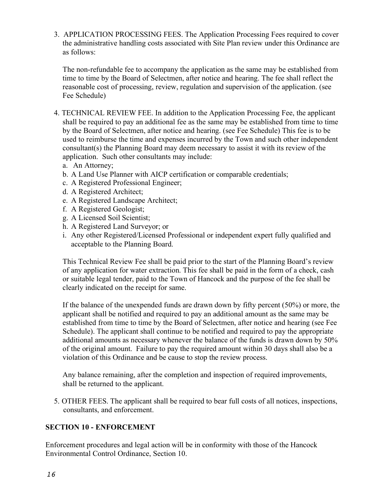3. APPLICATION PROCESSING FEES. The Application Processing Fees required to cover the administrative handling costs associated with Site Plan review under this Ordinance are as follows:

The non-refundable fee to accompany the application as the same may be established from time to time by the Board of Selectmen, after notice and hearing. The fee shall reflect the reasonable cost of processing, review, regulation and supervision of the application. (see Fee Schedule)

- 4. TECHNICAL REVIEW FEE. In addition to the Application Processing Fee, the applicant shall be required to pay an additional fee as the same may be established from time to time by the Board of Selectmen, after notice and hearing. (see Fee Schedule) This fee is to be used to reimburse the time and expenses incurred by the Town and such other independent consultant(s) the Planning Board may deem necessary to assist it with its review of the application. Such other consultants may include:
	- a. An Attorney;
	- b. A Land Use Planner with AICP certification or comparable credentials;
	- c. A Registered Professional Engineer;
	- d. A Registered Architect;
	- e. A Registered Landscape Architect;
	- f. A Registered Geologist;
	- g. A Licensed Soil Scientist;
	- h. A Registered Land Surveyor; or
	- i. Any other Registered/Licensed Professional or independent expert fully qualified and acceptable to the Planning Board.

This Technical Review Fee shall be paid prior to the start of the Planning Board's review of any application for water extraction. This fee shall be paid in the form of a check, cash or suitable legal tender, paid to the Town of Hancock and the purpose of the fee shall be clearly indicated on the receipt for same.

If the balance of the unexpended funds are drawn down by fifty percent (50%) or more, the applicant shall be notified and required to pay an additional amount as the same may be established from time to time by the Board of Selectmen, after notice and hearing (see Fee Schedule). The applicant shall continue to be notified and required to pay the appropriate additional amounts as necessary whenever the balance of the funds is drawn down by 50% of the original amount. Failure to pay the required amount within 30 days shall also be a violation of this Ordinance and be cause to stop the review process.

Any balance remaining, after the completion and inspection of required improvements, shall be returned to the applicant.

5. OTHER FEES. The applicant shall be required to bear full costs of all notices, inspections, consultants, and enforcement.

## **SECTION 10 - ENFORCEMENT**

Enforcement procedures and legal action will be in conformity with those of the Hancock Environmental Control Ordinance, Section 10.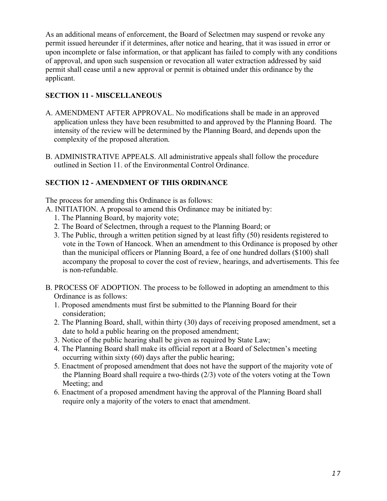As an additional means of enforcement, the Board of Selectmen may suspend or revoke any permit issued hereunder if it determines, after notice and hearing, that it was issued in error or upon incomplete or false information, or that applicant has failed to comply with any conditions of approval, and upon such suspension or revocation all water extraction addressed by said permit shall cease until a new approval or permit is obtained under this ordinance by the applicant.

# **SECTION 11 - MISCELLANEOUS**

- A. AMENDMENT AFTER APPROVAL. No modifications shall be made in an approved application unless they have been resubmitted to and approved by the Planning Board. The intensity of the review will be determined by the Planning Board, and depends upon the complexity of the proposed alteration.
- B. ADMINISTRATIVE APPEALS. All administrative appeals shall follow the procedure outlined in Section 11. of the Environmental Control Ordinance.

# **SECTION 12 - AMENDMENT OF THIS ORDINANCE**

The process for amending this Ordinance is as follows:

- A. INITIATION. A proposal to amend this Ordinance may be initiated by:
	- 1. The Planning Board, by majority vote;
	- 2. The Board of Selectmen, through a request to the Planning Board; or
	- 3. The Public, through a written petition signed by at least fifty (50) residents registered to vote in the Town of Hancock. When an amendment to this Ordinance is proposed by other than the municipal officers or Planning Board, a fee of one hundred dollars (\$100) shall accompany the proposal to cover the cost of review, hearings, and advertisements. This fee is non-refundable.
- B. PROCESS OF ADOPTION. The process to be followed in adopting an amendment to this Ordinance is as follows:
	- 1. Proposed amendments must first be submitted to the Planning Board for their consideration;
	- 2. The Planning Board, shall, within thirty (30) days of receiving proposed amendment, set a date to hold a public hearing on the proposed amendment;
	- 3. Notice of the public hearing shall be given as required by State Law;
	- 4. The Planning Board shall make its official report at a Board of Selectmen's meeting occurring within sixty (60) days after the public hearing;
	- 5. Enactment of proposed amendment that does not have the support of the majority vote of the Planning Board shall require a two-thirds (2/3) vote of the voters voting at the Town Meeting; and
	- 6. Enactment of a proposed amendment having the approval of the Planning Board shall require only a majority of the voters to enact that amendment.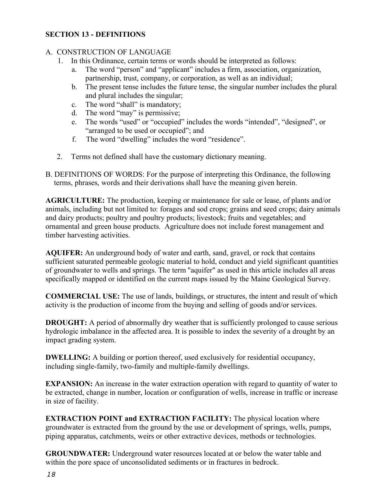## **SECTION 13 - DEFINITIONS**

## A. CONSTRUCTION OF LANGUAGE

- 1. In this Ordinance, certain terms or words should be interpreted as follows:
	- a. The word "person" and "applicant" includes a firm, association, organization, partnership, trust, company, or corporation, as well as an individual;
	- b. The present tense includes the future tense, the singular number includes the plural and plural includes the singular;
	- c. The word "shall" is mandatory;
	- d. The word "may" is permissive;
	- e. The words "used" or "occupied" includes the words "intended", "designed", or "arranged to be used or occupied"; and
	- f. The word "dwelling" includes the word "residence".
- 2. Terms not defined shall have the customary dictionary meaning.
- B. DEFINITIONS OF WORDS: For the purpose of interpreting this Ordinance, the following terms, phrases, words and their derivations shall have the meaning given herein.

**AGRICULTURE:** The production, keeping or maintenance for sale or lease, of plants and/or animals, including but not limited to: forages and sod crops; grains and seed crops; dairy animals and dairy products; poultry and poultry products; livestock; fruits and vegetables; and ornamental and green house products. Agriculture does not include forest management and timber harvesting activities.

**AQUIFER:** An underground body of water and earth, sand, gravel, or rock that contains sufficient saturated permeable geologic material to hold, conduct and yield significant quantities of groundwater to wells and springs. The term "aquifer" as used in this article includes all areas specifically mapped or identified on the current maps issued by the Maine Geological Survey.

**COMMERCIAL USE:** The use of lands, buildings, or structures, the intent and result of which activity is the production of income from the buying and selling of goods and/or services.

**DROUGHT:** A period of abnormally dry weather that is sufficiently prolonged to cause serious hydrologic imbalance in the affected area. It is possible to index the severity of a drought by an impact grading system.

**DWELLING:** A building or portion thereof, used exclusively for residential occupancy, including single-family, two-family and multiple-family dwellings.

**EXPANSION:** An increase in the water extraction operation with regard to quantity of water to be extracted, change in number, location or configuration of wells, increase in traffic or increase in size of facility.

**EXTRACTION POINT and EXTRACTION FACILITY:** The physical location where groundwater is extracted from the ground by the use or development of springs, wells, pumps, piping apparatus, catchments, weirs or other extractive devices, methods or technologies.

**GROUNDWATER:** Underground water resources located at or below the water table and within the pore space of unconsolidated sediments or in fractures in bedrock.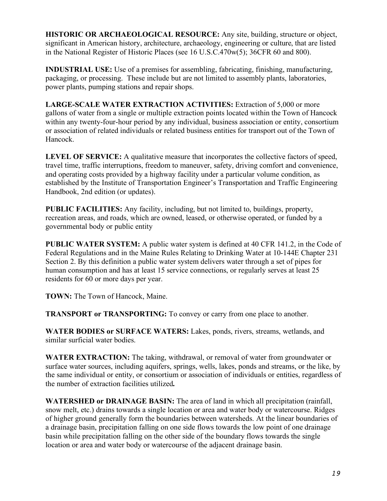**HISTORIC OR ARCHAEOLOGICAL RESOURCE:** Any site, building, structure or object, significant in American history, architecture, archaeology, engineering or culture, that are listed in the National Register of Historic Places (see 16 U.S.C.470w(5); 36CFR 60 and 800).

**INDUSTRIAL USE:** Use of a premises for assembling, fabricating, finishing, manufacturing, packaging, or processing. These include but are not limited to assembly plants, laboratories, power plants, pumping stations and repair shops.

**LARGE-SCALE WATER EXTRACTION ACTIVITIES:** Extraction of 5,000 or more gallons of water from a single or multiple extraction points located within the Town of Hancock within any twenty-four-hour period by any individual, business association or entity, consortium or association of related individuals or related business entities for transport out of the Town of Hancock.

**LEVEL OF SERVICE:** A qualitative measure that incorporates the collective factors of speed, travel time, traffic interruptions, freedom to maneuver, safety, driving comfort and convenience, and operating costs provided by a highway facility under a particular volume condition, as established by the Institute of Transportation Engineer's Transportation and Traffic Engineering Handbook, 2nd edition (or updates).

**PUBLIC FACILITIES:** Any facility, including, but not limited to, buildings, property, recreation areas, and roads, which are owned, leased, or otherwise operated, or funded by a governmental body or public entity

**PUBLIC WATER SYSTEM:** A public water system is defined at 40 CFR 141.2, in the Code of Federal Regulations and in the Maine Rules Relating to Drinking Water at 10-144E Chapter 231 Section 2. By this definition a public water system delivers water through a set of pipes for human consumption and has at least 15 service connections, or regularly serves at least 25 residents for 60 or more days per year.

**TOWN:** The Town of Hancock, Maine.

**TRANSPORT or TRANSPORTING:** To convey or carry from one place to another.

**WATER BODIES or SURFACE WATERS:** Lakes, ponds, rivers, streams, wetlands, and similar surficial water bodies.

**WATER EXTRACTION:** The taking, withdrawal, or removal of water from groundwater or surface water sources, including aquifers, springs, wells, lakes, ponds and streams, or the like, by the same individual or entity, or consortium or association of individuals or entities, regardless of the number of extraction facilities utilized**.** 

**WATERSHED or DRAINAGE BASIN:** The area of land in which all precipitation (rainfall, snow melt, etc.) drains towards a single location or area and water body or watercourse. Ridges of higher ground generally form the boundaries between watersheds. At the linear boundaries of a drainage basin, precipitation falling on one side flows towards the low point of one drainage basin while precipitation falling on the other side of the boundary flows towards the single location or area and water body or watercourse of the adjacent drainage basin.